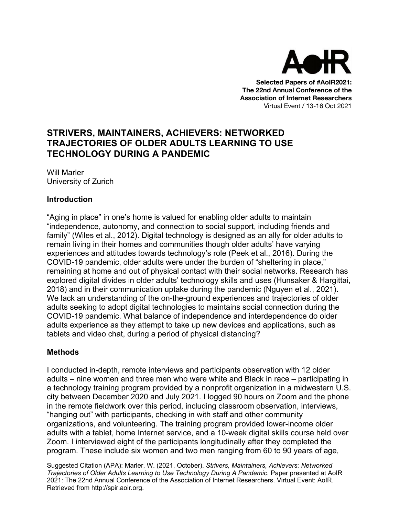

**Selected Papers of #AoIR2021: The 22nd Annual Conference of the Association of Internet Researchers** Virtual Event / 13-16 Oct 2021

# **STRIVERS, MAINTAINERS, ACHIEVERS: NETWORKED TRAJECTORIES OF OLDER ADULTS LEARNING TO USE TECHNOLOGY DURING A PANDEMIC**

Will Marler University of Zurich

#### **Introduction**

"Aging in place" in one's home is valued for enabling older adults to maintain "independence, autonomy, and connection to social support, including friends and family" (Wiles et al., 2012). Digital technology is designed as an ally for older adults to remain living in their homes and communities though older adults' have varying experiences and attitudes towards technology's role (Peek et al., 2016). During the COVID-19 pandemic, older adults were under the burden of "sheltering in place," remaining at home and out of physical contact with their social networks. Research has explored digital divides in older adults' technology skills and uses (Hunsaker & Hargittai, 2018) and in their communication uptake during the pandemic (Nguyen et al., 2021). We lack an understanding of the on-the-ground experiences and trajectories of older adults seeking to adopt digital technologies to maintains social connection during the COVID-19 pandemic. What balance of independence and interdependence do older adults experience as they attempt to take up new devices and applications, such as tablets and video chat, during a period of physical distancing?

#### **Methods**

I conducted in-depth, remote interviews and participants observation with 12 older adults – nine women and three men who were white and Black in race – participating in a technology training program provided by a nonprofit organization in a midwestern U.S. city between December 2020 and July 2021. I logged 90 hours on Zoom and the phone in the remote fieldwork over this period, including classroom observation, interviews, "hanging out" with participants, checking in with staff and other community organizations, and volunteering. The training program provided lower-income older adults with a tablet, home Internet service, and a 10-week digital skills course held over Zoom. I interviewed eight of the participants longitudinally after they completed the program. These include six women and two men ranging from 60 to 90 years of age,

Suggested Citation (APA): Marler, W. (2021, October). *Strivers, Maintainers, Achievers: Networked Trajectories of Older Adults Learning to Use Technology During A Pandemic*. Paper presented at AoIR 2021: The 22nd Annual Conference of the Association of Internet Researchers. Virtual Event: AoIR. Retrieved from http://spir.aoir.org.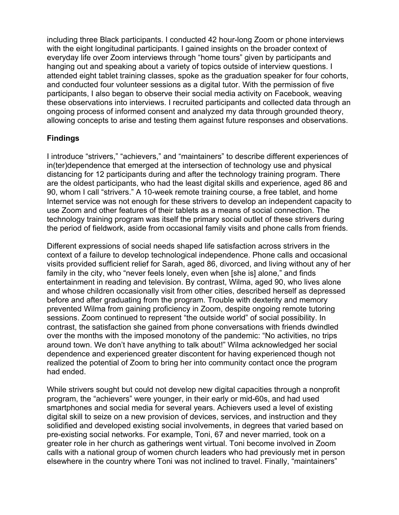including three Black participants. I conducted 42 hour-long Zoom or phone interviews with the eight longitudinal participants. I gained insights on the broader context of everyday life over Zoom interviews through "home tours" given by participants and hanging out and speaking about a variety of topics outside of interview questions. I attended eight tablet training classes, spoke as the graduation speaker for four cohorts, and conducted four volunteer sessions as a digital tutor. With the permission of five participants, I also began to observe their social media activity on Facebook, weaving these observations into interviews. I recruited participants and collected data through an ongoing process of informed consent and analyzed my data through grounded theory, allowing concepts to arise and testing them against future responses and observations.

## **Findings**

I introduce "strivers," "achievers," and "maintainers" to describe different experiences of in(ter)dependence that emerged at the intersection of technology use and physical distancing for 12 participants during and after the technology training program. There are the oldest participants, who had the least digital skills and experience, aged 86 and 90, whom I call "strivers." A 10-week remote training course, a free tablet, and home Internet service was not enough for these strivers to develop an independent capacity to use Zoom and other features of their tablets as a means of social connection. The technology training program was itself the primary social outlet of these strivers during the period of fieldwork, aside from occasional family visits and phone calls from friends.

Different expressions of social needs shaped life satisfaction across strivers in the context of a failure to develop technological independence. Phone calls and occasional visits provided sufficient relief for Sarah, aged 86, divorced, and living without any of her family in the city, who "never feels lonely, even when [she is] alone," and finds entertainment in reading and television. By contrast, Wilma, aged 90, who lives alone and whose children occasionally visit from other cities, described herself as depressed before and after graduating from the program. Trouble with dexterity and memory prevented Wilma from gaining proficiency in Zoom, despite ongoing remote tutoring sessions. Zoom continued to represent "the outside world" of social possibility. In contrast, the satisfaction she gained from phone conversations with friends dwindled over the months with the imposed monotony of the pandemic: "No activities, no trips around town. We don't have anything to talk about!" Wilma acknowledged her social dependence and experienced greater discontent for having experienced though not realized the potential of Zoom to bring her into community contact once the program had ended.

While strivers sought but could not develop new digital capacities through a nonprofit program, the "achievers" were younger, in their early or mid-60s, and had used smartphones and social media for several years. Achievers used a level of existing digital skill to seize on a new provision of devices, services, and instruction and they solidified and developed existing social involvements, in degrees that varied based on pre-existing social networks. For example, Toni, 67 and never married, took on a greater role in her church as gatherings went virtual. Toni become involved in Zoom calls with a national group of women church leaders who had previously met in person elsewhere in the country where Toni was not inclined to travel. Finally, "maintainers"